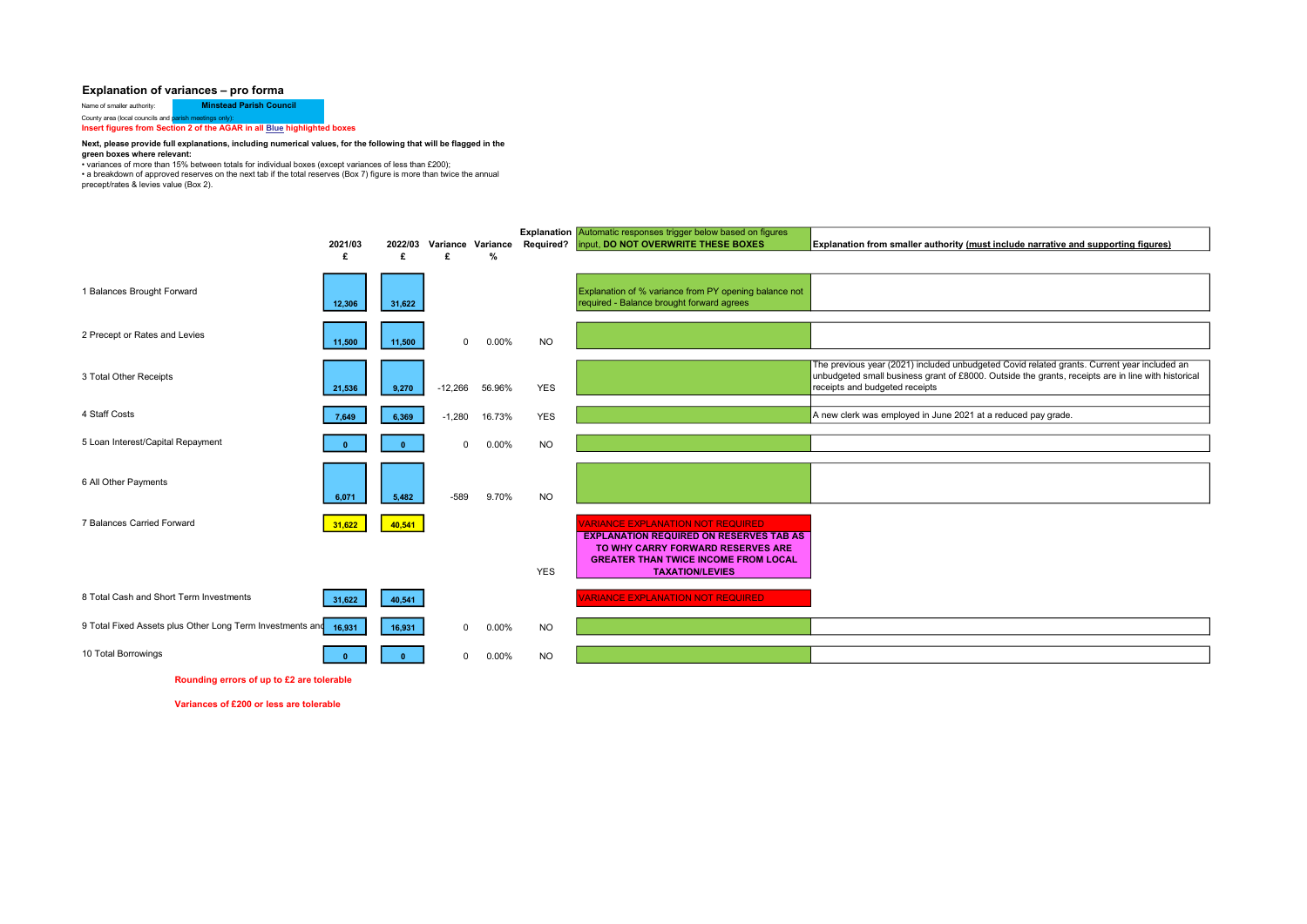#### Explanation of variances – pro forma

Name of smaller authority: **Minstead Parish Council** County area (local councils and parish meetings only):

Insert figures from Section 2 of the AGAR in all **Blue highlighted boxes** 

#### Next, please provide full explanations, including numerical values, for the following that will be flagged in the green boxes where relevant:

• variances of more than 15% between totals for individual boxes (except variances of less than £200);

• a breakdown of approved reserves on the next tab if the total reserves (Box 7) figure is more than twice the annual precept/rates & levies value (Box 2).

|                                                           | 2021/03<br>£ | £      | £           | %      | 2022/03 Variance Variance Required? | Explanation Automatic responses trigger below based on figures<br>input, DO NOT OVERWRITE THESE BOXES                                                                                                    | Explanation from smaller authority (must include narrative and supporting figures)                                                                                                                                                  |
|-----------------------------------------------------------|--------------|--------|-------------|--------|-------------------------------------|----------------------------------------------------------------------------------------------------------------------------------------------------------------------------------------------------------|-------------------------------------------------------------------------------------------------------------------------------------------------------------------------------------------------------------------------------------|
| <b>Balances Brought Forward</b>                           | 12,306       | 31,622 |             |        |                                     | Explanation of % variance from PY opening balance not<br>required - Balance brought forward agrees                                                                                                       |                                                                                                                                                                                                                                     |
| 2 Precept or Rates and Levies                             | 11,500       | 11,500 | 0           | 0.00%  | <b>NO</b>                           |                                                                                                                                                                                                          |                                                                                                                                                                                                                                     |
| 3 Total Other Receipts                                    | 21,536       | 9,270  | $-12,266$   | 56.96% | <b>YES</b>                          |                                                                                                                                                                                                          | The previous year (2021) included unbudgeted Covid related grants. Current year included an<br>unbudgeted small business grant of £8000. Outside the grants, receipts are in line with historical<br>receipts and budgeted receipts |
| 4 Staff Costs                                             | 7,649        | 6,369  | $-1,280$    | 16.73% | <b>YES</b>                          |                                                                                                                                                                                                          | A new clerk was employed in June 2021 at a reduced pay grade.                                                                                                                                                                       |
| 5 Loan Interest/Capital Repayment                         |              |        | $\mathbf 0$ | 0.00%  | <b>NO</b>                           |                                                                                                                                                                                                          |                                                                                                                                                                                                                                     |
| 6 All Other Payments                                      | 6,071        | 5,482  | $-589$      | 9.70%  | <b>NO</b>                           |                                                                                                                                                                                                          |                                                                                                                                                                                                                                     |
| 7 Balances Carried Forward                                | 31,622       | 40,541 |             |        | <b>YES</b>                          | <b>VARIANCE EXPLANATION NOT REQUIRED</b><br><b>EXPLANATION REQUIRED ON RESERVES TAB AS</b><br>TO WHY CARRY FORWARD RESERVES ARE<br><b>GREATER THAN TWICE INCOME FROM LOCAL</b><br><b>TAXATION/LEVIES</b> |                                                                                                                                                                                                                                     |
| 8 Total Cash and Short Term Investments                   | 31,622       | 40,541 |             |        |                                     | <b>ARIANCE EXPLANATION NOT REQUIRED</b>                                                                                                                                                                  |                                                                                                                                                                                                                                     |
| 9 Total Fixed Assets plus Other Long Term Investments and | 16,931       | 16,931 | $\mathbf 0$ | 0.00%  | <b>NO</b>                           |                                                                                                                                                                                                          |                                                                                                                                                                                                                                     |
| 10 Total Borrowings                                       |              |        | $\Omega$    | 0.00%  | <b>NO</b>                           |                                                                                                                                                                                                          |                                                                                                                                                                                                                                     |

Rounding errors of up to £2 are tolerable

Variances of £200 or less are tolerable